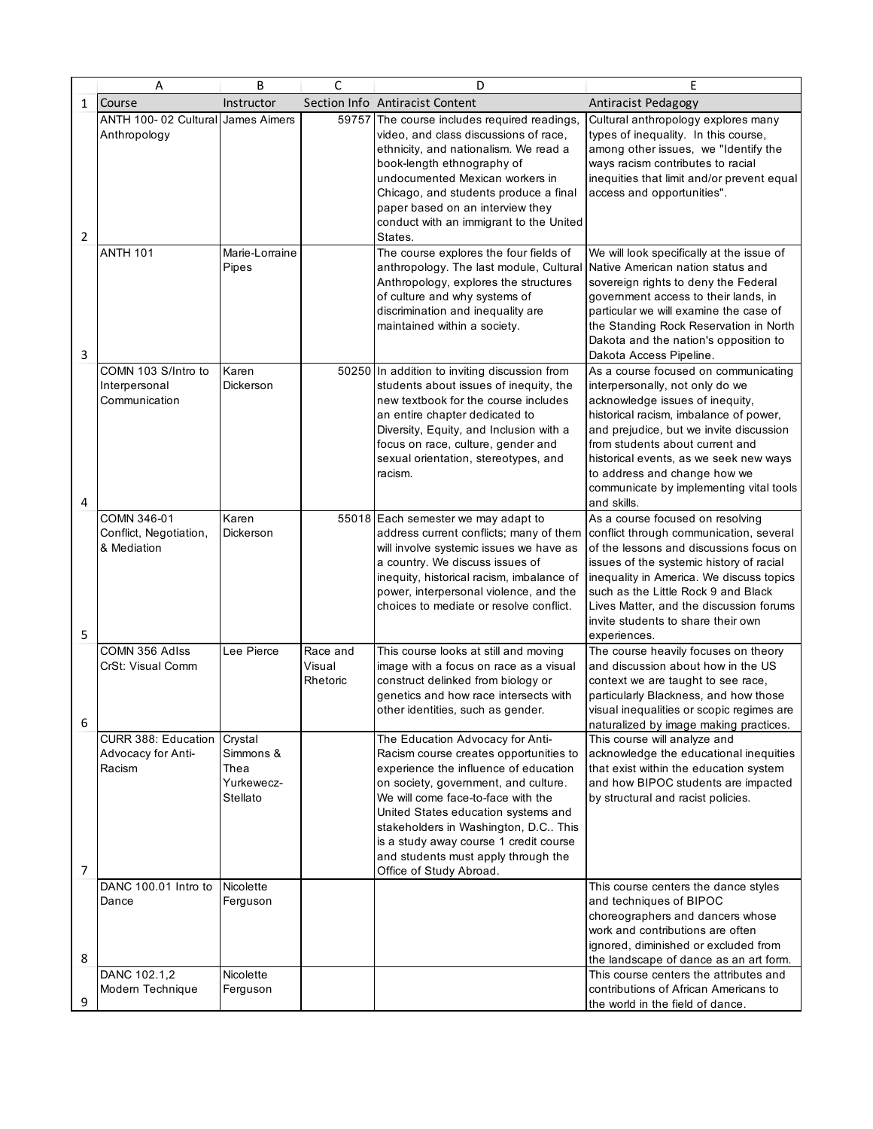|              | Α                                                     | B                                                      | C                              | D                                                                                                                                                                                                                                                                                                                                                                                            | E                                                                                                                                                                                                                                                                                                                                                                      |
|--------------|-------------------------------------------------------|--------------------------------------------------------|--------------------------------|----------------------------------------------------------------------------------------------------------------------------------------------------------------------------------------------------------------------------------------------------------------------------------------------------------------------------------------------------------------------------------------------|------------------------------------------------------------------------------------------------------------------------------------------------------------------------------------------------------------------------------------------------------------------------------------------------------------------------------------------------------------------------|
| $\mathbf{1}$ | Course                                                | Instructor                                             |                                | Section Info Antiracist Content                                                                                                                                                                                                                                                                                                                                                              | Antiracist Pedagogy                                                                                                                                                                                                                                                                                                                                                    |
|              | ANTH 100-02 Cultural<br>Anthropology                  | James Aimers                                           |                                | 59757 The course includes required readings,<br>video, and class discussions of race,<br>ethnicity, and nationalism. We read a                                                                                                                                                                                                                                                               | Cultural anthropology explores many<br>types of inequality. In this course,<br>among other issues, we "Identify the                                                                                                                                                                                                                                                    |
|              |                                                       |                                                        |                                | book-length ethnography of<br>undocumented Mexican workers in<br>Chicago, and students produce a final<br>paper based on an interview they<br>conduct with an immigrant to the United                                                                                                                                                                                                        | ways racism contributes to racial<br>inequities that limit and/or prevent equal<br>access and opportunities".                                                                                                                                                                                                                                                          |
| 2            |                                                       |                                                        |                                | States.                                                                                                                                                                                                                                                                                                                                                                                      |                                                                                                                                                                                                                                                                                                                                                                        |
| 3            | <b>ANTH 101</b>                                       | Marie-Lorraine<br>Pipes                                |                                | The course explores the four fields of<br>anthropology. The last module, Cultural<br>Anthropology, explores the structures<br>of culture and why systems of<br>discrimination and inequality are<br>maintained within a society.                                                                                                                                                             | We will look specifically at the issue of<br>Native American nation status and<br>sovereign rights to deny the Federal<br>government access to their lands, in<br>particular we will examine the case of<br>the Standing Rock Reservation in North<br>Dakota and the nation's opposition to<br>Dakota Access Pipeline.                                                 |
| 4            | COMN 103 S/Intro to<br>Interpersonal<br>Communication | Karen<br>Dickerson                                     |                                | 50250 In addition to inviting discussion from<br>students about issues of inequity, the<br>new textbook for the course includes<br>an entire chapter dedicated to<br>Diversity, Equity, and Inclusion with a<br>focus on race, culture, gender and<br>sexual orientation, stereotypes, and<br>racism.                                                                                        | As a course focused on communicating<br>interpersonally, not only do we<br>acknowledge issues of inequity,<br>historical racism, imbalance of power,<br>and prejudice, but we invite discussion<br>from students about current and<br>historical events, as we seek new ways<br>to address and change how we<br>communicate by implementing vital tools<br>and skills. |
| 5            | COMN 346-01<br>Conflict, Negotiation,<br>& Mediation  | Karen<br>Dickerson                                     |                                | 55018 Each semester we may adapt to<br>address current conflicts; many of them<br>will involve systemic issues we have as<br>a country. We discuss issues of<br>inequity, historical racism, imbalance of<br>power, interpersonal violence, and the<br>choices to mediate or resolve conflict.                                                                                               | As a course focused on resolving<br>conflict through communication, several<br>of the lessons and discussions focus on<br>issues of the systemic history of racial<br>inequality in America. We discuss topics<br>such as the Little Rock 9 and Black<br>Lives Matter, and the discussion forums<br>invite students to share their own<br>experiences.                 |
| 6            | COMN 356 Adlss<br>CrSt: Visual Comm                   | Lee Pierce                                             | Race and<br>Visual<br>Rhetoric | This course looks at still and moving<br>image with a focus on race as a visual<br>construct delinked from biology or<br>genetics and how race intersects with<br>other identities, such as gender.                                                                                                                                                                                          | The course heavily focuses on theory<br>and discussion about how in the US<br>context we are taught to see race,<br>particularly Blackness, and how those<br>visual inequalities or scopic regimes are<br>naturalized by image making practices.                                                                                                                       |
| 7            | CURR 388: Education<br>Advocacy for Anti-<br>Racism   | Crystal<br>Simmons &<br>Thea<br>Yurkewecz-<br>Stellato |                                | The Education Advocacy for Anti-<br>Racism course creates opportunities to<br>experience the influence of education<br>on society, government, and culture.<br>We will come face-to-face with the<br>United States education systems and<br>stakeholders in Washington, D.C This<br>is a study away course 1 credit course<br>and students must apply through the<br>Office of Study Abroad. | This course will analyze and<br>acknowledge the educational inequities<br>that exist within the education system<br>and how BIPOC students are impacted<br>by structural and racist policies.                                                                                                                                                                          |
| 8            | DANC 100.01 Intro to<br>Dance                         | Nicolette<br>Ferguson                                  |                                |                                                                                                                                                                                                                                                                                                                                                                                              | This course centers the dance styles<br>and techniques of BIPOC<br>choreographers and dancers whose<br>work and contributions are often<br>ignored, diminished or excluded from<br>the landscape of dance as an art form.                                                                                                                                              |
| 9            | DANC 102.1,2<br>Modern Technique                      | Nicolette<br>Ferguson                                  |                                |                                                                                                                                                                                                                                                                                                                                                                                              | This course centers the attributes and<br>contributions of African Americans to<br>the world in the field of dance.                                                                                                                                                                                                                                                    |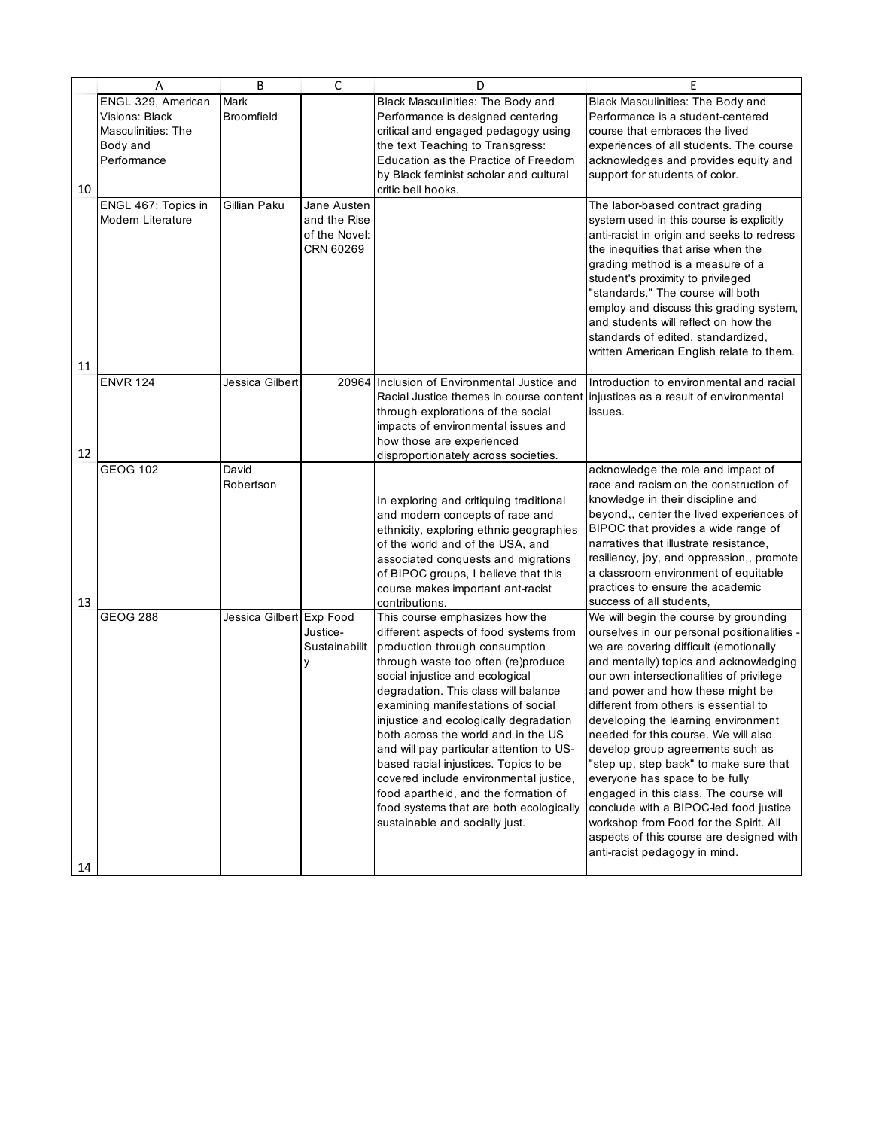|    | Α                   | B                        | C             | D                                                                         | E                                                                                   |
|----|---------------------|--------------------------|---------------|---------------------------------------------------------------------------|-------------------------------------------------------------------------------------|
|    | ENGL 329, American  | Mark                     |               | Black Masculinities: The Body and                                         | Black Masculinities: The Body and                                                   |
|    | Visions: Black      | <b>Broomfield</b>        |               | Performance is designed centering                                         | Performance is a student-centered                                                   |
|    | Masculinities: The  |                          |               | critical and engaged pedagogy using                                       | course that embraces the lived                                                      |
|    | Body and            |                          |               | the text Teaching to Transgress:                                          | experiences of all students. The course                                             |
|    | Performance         |                          |               | Education as the Practice of Freedom                                      | acknowledges and provides equity and                                                |
|    |                     |                          |               | by Black feminist scholar and cultural                                    | support for students of color.                                                      |
| 10 |                     |                          |               | critic bell hooks.                                                        |                                                                                     |
|    | ENGL 467: Topics in | Gillian Paku             | Jane Austen   |                                                                           | The labor-based contract grading                                                    |
|    | Modern Literature   |                          | and the Rise  |                                                                           | system used in this course is explicitly                                            |
|    |                     |                          | of the Novel: |                                                                           | anti-racist in origin and seeks to redress                                          |
|    |                     |                          | CRN 60269     |                                                                           | the inequities that arise when the                                                  |
|    |                     |                          |               |                                                                           | grading method is a measure of a                                                    |
|    |                     |                          |               |                                                                           | student's proximity to privileged                                                   |
|    |                     |                          |               |                                                                           | "standards." The course will both                                                   |
|    |                     |                          |               |                                                                           | employ and discuss this grading system,                                             |
|    |                     |                          |               |                                                                           | and students will reflect on how the                                                |
|    |                     |                          |               |                                                                           | standards of edited, standardized,                                                  |
| 11 |                     |                          |               |                                                                           | written American English relate to them.                                            |
|    | <b>ENVR 124</b>     | Jessica Gilbert          |               | 20964 Inclusion of Environmental Justice and                              | Introduction to environmental and racial                                            |
|    |                     |                          |               | Racial Justice themes in course content                                   | injustices as a result of environmental                                             |
|    |                     |                          |               | through explorations of the social                                        | issues.                                                                             |
|    |                     |                          |               | impacts of environmental issues and                                       |                                                                                     |
|    |                     |                          |               | how those are experienced                                                 |                                                                                     |
| 12 |                     |                          |               | disproportionately across societies.                                      |                                                                                     |
|    | <b>GEOG 102</b>     | David                    |               |                                                                           | acknowledge the role and impact of                                                  |
|    |                     | Robertson                |               |                                                                           | race and racism on the construction of                                              |
|    |                     |                          |               | In exploring and critiquing traditional                                   | knowledge in their discipline and                                                   |
|    |                     |                          |               | and modern concepts of race and                                           | beyond,, center the lived experiences of                                            |
|    |                     |                          |               | ethnicity, exploring ethnic geographies                                   | BIPOC that provides a wide range of                                                 |
|    |                     |                          |               | of the world and of the USA, and                                          | narratives that illustrate resistance,<br>resiliency, joy, and oppression,, promote |
|    |                     |                          |               | associated conquests and migrations                                       | a classroom environment of equitable                                                |
|    |                     |                          |               | of BIPOC groups, I believe that this<br>course makes important ant-racist | practices to ensure the academic                                                    |
| 13 |                     |                          |               | contributions.                                                            | success of all students,                                                            |
|    | <b>GEOG 288</b>     | Jessica Gilbert Exp Food |               | This course emphasizes how the                                            | We will begin the course by grounding                                               |
|    |                     |                          | Justice-      | different aspects of food systems from                                    | ourselves in our personal positionalities -                                         |
|    |                     |                          | Sustainabilit | production through consumption                                            | we are covering difficult (emotionally                                              |
|    |                     |                          | У             | through waste too often (re)produce                                       | and mentally) topics and acknowledging                                              |
|    |                     |                          |               | social injustice and ecological                                           | our own intersectionalities of privilege                                            |
|    |                     |                          |               | degradation. This class will balance                                      | and power and how these might be                                                    |
|    |                     |                          |               | examining manifestations of social                                        | different from others is essential to                                               |
|    |                     |                          |               | injustice and ecologically degradation                                    | developing the learning environment                                                 |
|    |                     |                          |               | both across the world and in the US                                       | needed for this course. We will also                                                |
|    |                     |                          |               | and will pay particular attention to US-                                  | develop group agreements such as                                                    |
|    |                     |                          |               | based racial injustices. Topics to be                                     | "step up, step back" to make sure that                                              |
|    |                     |                          |               | covered include environmental justice,                                    | everyone has space to be fully                                                      |
|    |                     |                          |               | food apartheid, and the formation of                                      | engaged in this class. The course will                                              |
|    |                     |                          |               | food systems that are both ecologically                                   | conclude with a BIPOC-led food justice                                              |
|    |                     |                          |               | sustainable and socially just.                                            | workshop from Food for the Spirit. All                                              |
|    |                     |                          |               |                                                                           | aspects of this course are designed with                                            |
|    |                     |                          |               |                                                                           | anti-racist pedagogy in mind.                                                       |
| 14 |                     |                          |               |                                                                           |                                                                                     |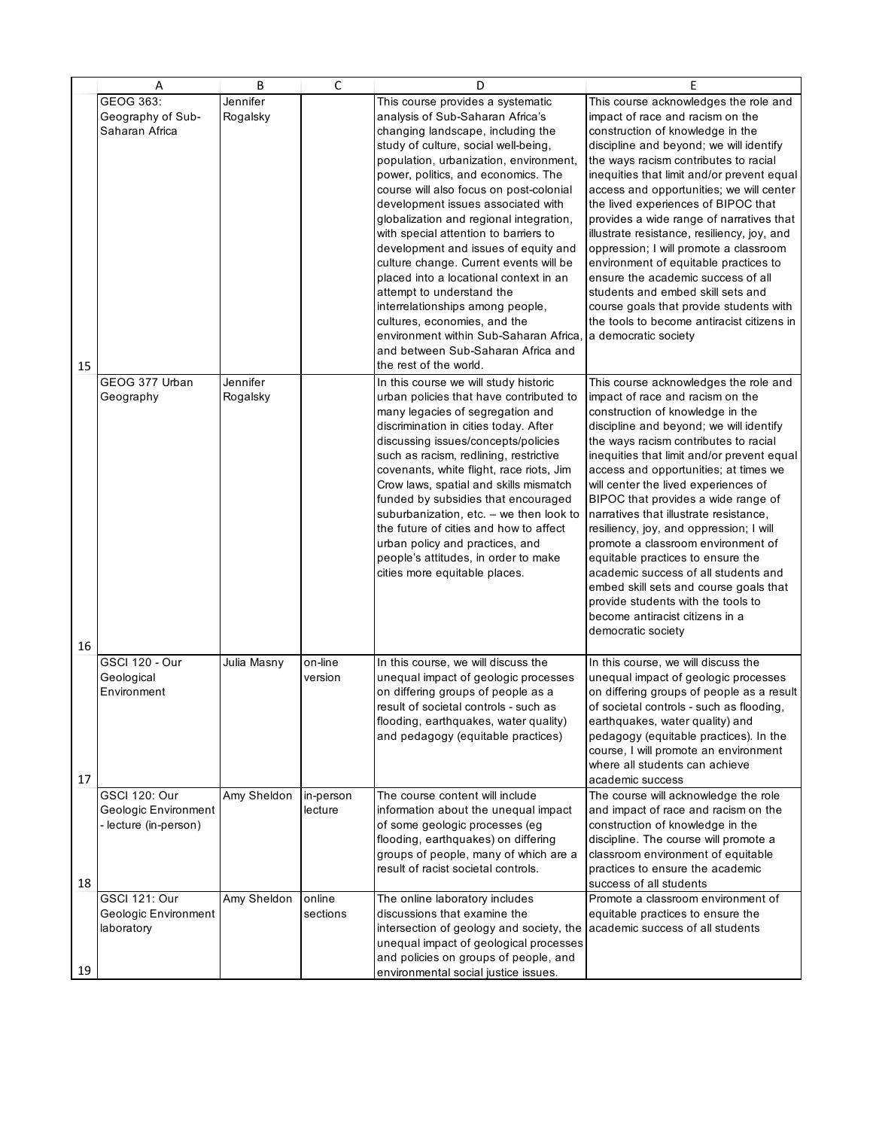|    | Α                                                                     | B                    | $\mathsf{C}$         | D                                                                                                                                                                                                                                                                                                                                                                                                                                                                                                                                                                                                                                                                                                                                              | E                                                                                                                                                                                                                                                                                                                                                                                                                                                                                                                                                                                                                                                                                                                        |
|----|-----------------------------------------------------------------------|----------------------|----------------------|------------------------------------------------------------------------------------------------------------------------------------------------------------------------------------------------------------------------------------------------------------------------------------------------------------------------------------------------------------------------------------------------------------------------------------------------------------------------------------------------------------------------------------------------------------------------------------------------------------------------------------------------------------------------------------------------------------------------------------------------|--------------------------------------------------------------------------------------------------------------------------------------------------------------------------------------------------------------------------------------------------------------------------------------------------------------------------------------------------------------------------------------------------------------------------------------------------------------------------------------------------------------------------------------------------------------------------------------------------------------------------------------------------------------------------------------------------------------------------|
| 15 | GEOG 363:<br>Geography of Sub-<br>Saharan Africa                      | Jennifer<br>Rogalsky |                      | This course provides a systematic<br>analysis of Sub-Saharan Africa's<br>changing landscape, including the<br>study of culture, social well-being,<br>population, urbanization, environment,<br>power, politics, and economics. The<br>course will also focus on post-colonial<br>development issues associated with<br>globalization and regional integration,<br>with special attention to barriers to<br>development and issues of equity and<br>culture change. Current events will be<br>placed into a locational context in an<br>attempt to understand the<br>interrelationships among people,<br>cultures, economies, and the<br>environment within Sub-Saharan Africa<br>and between Sub-Saharan Africa and<br>the rest of the world. | This course acknowledges the role and<br>impact of race and racism on the<br>construction of knowledge in the<br>discipline and beyond; we will identify<br>the ways racism contributes to racial<br>inequities that limit and/or prevent equal<br>access and opportunities; we will center<br>the lived experiences of BIPOC that<br>provides a wide range of narratives that<br>illustrate resistance, resiliency, joy, and<br>oppression; I will promote a classroom<br>environment of equitable practices to<br>ensure the academic success of all<br>students and embed skill sets and<br>course goals that provide students with<br>the tools to become antiracist citizens in<br>a democratic society             |
| 16 | GEOG 377 Urban<br>Geography                                           | Jennifer<br>Rogalsky |                      | In this course we will study historic<br>urban policies that have contributed to<br>many legacies of segregation and<br>discrimination in cities today. After<br>discussing issues/concepts/policies<br>such as racism, redlining, restrictive<br>covenants, white flight, race riots, Jim<br>Crow laws, spatial and skills mismatch<br>funded by subsidies that encouraged<br>suburbanization, etc. - we then look to<br>the future of cities and how to affect<br>urban policy and practices, and<br>people's attitudes, in order to make<br>cities more equitable places.                                                                                                                                                                   | This course acknowledges the role and<br>impact of race and racism on the<br>construction of knowledge in the<br>discipline and beyond; we will identify<br>the ways racism contributes to racial<br>inequities that limit and/or prevent equal<br>access and opportunities; at times we<br>will center the lived experiences of<br>BIPOC that provides a wide range of<br>narratives that illustrate resistance,<br>resiliency, joy, and oppression; I will<br>promote a classroom environment of<br>equitable practices to ensure the<br>academic success of all students and<br>embed skill sets and course goals that<br>provide students with the tools to<br>become antiracist citizens in a<br>democratic society |
| 17 | <b>GSCI 120 - Our</b><br>Geological<br>Environment                    | Julia Masny          | on-line<br>version   | In this course, we will discuss the<br>unequal impact of geologic processes<br>on differing groups of people as a<br>result of societal controls - such as<br>flooding, earthquakes, water quality)<br>and pedagogy (equitable practices)                                                                                                                                                                                                                                                                                                                                                                                                                                                                                                      | In this course, we will discuss the<br>unequal impact of geologic processes<br>on differing groups of people as a result<br>of societal controls - such as flooding,<br>earthquakes, water quality) and<br>pedagogy (equitable practices). In the<br>course, I will promote an environment<br>where all students can achieve<br>academic success                                                                                                                                                                                                                                                                                                                                                                         |
| 18 | <b>GSCI 120: Our</b><br>Geologic Environment<br>- lecture (in-person) | Amy Sheldon          | in-person<br>lecture | The course content will include<br>information about the unequal impact<br>of some geologic processes (eg<br>flooding, earthquakes) on differing<br>groups of people, many of which are a<br>result of racist societal controls.                                                                                                                                                                                                                                                                                                                                                                                                                                                                                                               | The course will acknowledge the role<br>and impact of race and racism on the<br>construction of knowledge in the<br>discipline. The course will promote a<br>classroom environment of equitable<br>practices to ensure the academic<br>success of all students                                                                                                                                                                                                                                                                                                                                                                                                                                                           |
| 19 | <b>GSCI 121: Our</b><br>Geologic Environment<br>laboratory            | Amy Sheldon          | online<br>sections   | The online laboratory includes<br>discussions that examine the<br>intersection of geology and society, the<br>unequal impact of geological processes<br>and policies on groups of people, and<br>environmental social justice issues.                                                                                                                                                                                                                                                                                                                                                                                                                                                                                                          | Promote a classroom environment of<br>equitable practices to ensure the<br>academic success of all students                                                                                                                                                                                                                                                                                                                                                                                                                                                                                                                                                                                                              |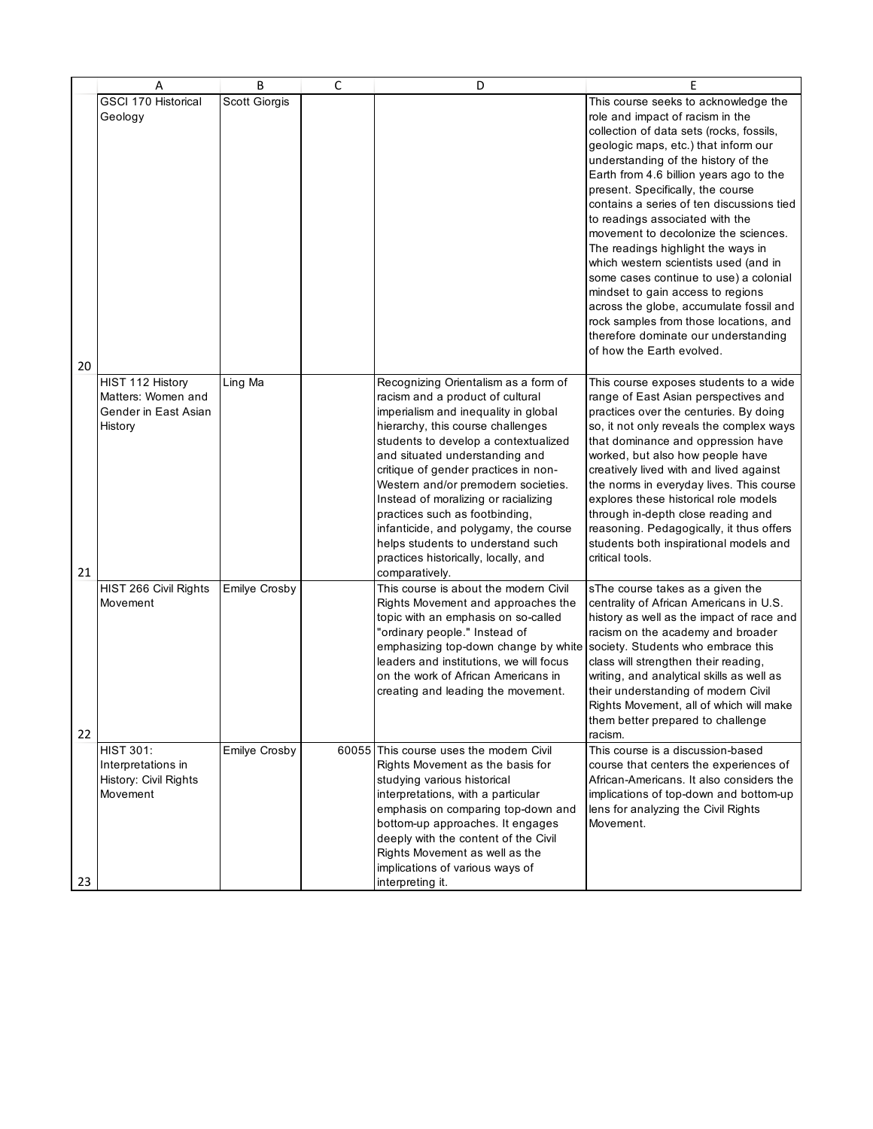|    | Α                     | B                    | C | D                                                                               | E                                                                          |
|----|-----------------------|----------------------|---|---------------------------------------------------------------------------------|----------------------------------------------------------------------------|
|    | GSCI 170 Historical   | Scott Giorgis        |   |                                                                                 | This course seeks to acknowledge the                                       |
|    | Geology               |                      |   |                                                                                 | role and impact of racism in the                                           |
|    |                       |                      |   |                                                                                 | collection of data sets (rocks, fossils,                                   |
|    |                       |                      |   |                                                                                 | geologic maps, etc.) that inform our                                       |
|    |                       |                      |   |                                                                                 | understanding of the history of the                                        |
|    |                       |                      |   |                                                                                 | Earth from 4.6 billion years ago to the                                    |
|    |                       |                      |   |                                                                                 | present. Specifically, the course                                          |
|    |                       |                      |   |                                                                                 | contains a series of ten discussions tied                                  |
|    |                       |                      |   |                                                                                 | to readings associated with the                                            |
|    |                       |                      |   |                                                                                 | movement to decolonize the sciences.<br>The readings highlight the ways in |
|    |                       |                      |   |                                                                                 | which western scientists used (and in                                      |
|    |                       |                      |   |                                                                                 | some cases continue to use) a colonial                                     |
|    |                       |                      |   |                                                                                 | mindset to gain access to regions                                          |
|    |                       |                      |   |                                                                                 | across the globe, accumulate fossil and                                    |
|    |                       |                      |   |                                                                                 | rock samples from those locations, and                                     |
|    |                       |                      |   |                                                                                 | therefore dominate our understanding                                       |
|    |                       |                      |   |                                                                                 | of how the Earth evolved.                                                  |
| 20 |                       |                      |   |                                                                                 |                                                                            |
|    | HIST 112 History      | Ling Ma              |   | Recognizing Orientalism as a form of                                            | This course exposes students to a wide                                     |
|    | Matters: Women and    |                      |   | racism and a product of cultural                                                | range of East Asian perspectives and                                       |
|    | Gender in East Asian  |                      |   | imperialism and inequality in global                                            | practices over the centuries. By doing                                     |
|    | History               |                      |   | hierarchy, this course challenges                                               | so, it not only reveals the complex ways                                   |
|    |                       |                      |   | students to develop a contextualized<br>and situated understanding and          | that dominance and oppression have<br>worked, but also how people have     |
|    |                       |                      |   | critique of gender practices in non-                                            | creatively lived with and lived against                                    |
|    |                       |                      |   | Western and/or premodern societies.                                             | the norms in everyday lives. This course                                   |
|    |                       |                      |   | Instead of moralizing or racializing                                            | explores these historical role models                                      |
|    |                       |                      |   | practices such as footbinding,                                                  | through in-depth close reading and                                         |
|    |                       |                      |   | infanticide, and polygamy, the course                                           | reasoning. Pedagogically, it thus offers                                   |
|    |                       |                      |   | helps students to understand such                                               | students both inspirational models and                                     |
|    |                       |                      |   | practices historically, locally, and                                            | critical tools.                                                            |
| 21 |                       |                      |   | comparatively.                                                                  |                                                                            |
|    | HIST 266 Civil Rights | Emilye Crosby        |   | This course is about the modern Civil                                           | sThe course takes as a given the                                           |
|    | Movement              |                      |   | Rights Movement and approaches the                                              | centrality of African Americans in U.S.                                    |
|    |                       |                      |   | topic with an emphasis on so-called                                             | history as well as the impact of race and                                  |
|    |                       |                      |   | "ordinary people." Instead of                                                   | racism on the academy and broader                                          |
|    |                       |                      |   | emphasizing top-down change by white<br>leaders and institutions, we will focus | society. Students who embrace this<br>class will strengthen their reading, |
|    |                       |                      |   | on the work of African Americans in                                             | writing, and analytical skills as well as                                  |
|    |                       |                      |   | creating and leading the movement.                                              | their understanding of modern Civil                                        |
|    |                       |                      |   |                                                                                 | Rights Movement, all of which will make                                    |
|    |                       |                      |   |                                                                                 | them better prepared to challenge                                          |
| 22 |                       |                      |   |                                                                                 | racism.                                                                    |
|    | <b>HIST 301:</b>      | <b>Emilye Crosby</b> |   | 60055 This course uses the modern Civil                                         | This course is a discussion-based                                          |
|    | Interpretations in    |                      |   | Rights Movement as the basis for                                                | course that centers the experiences of                                     |
|    | History: Civil Rights |                      |   | studying various historical                                                     | African-Americans. It also considers the                                   |
|    | Movement              |                      |   | interpretations, with a particular                                              | implications of top-down and bottom-up                                     |
|    |                       |                      |   | emphasis on comparing top-down and                                              | lens for analyzing the Civil Rights                                        |
|    |                       |                      |   | bottom-up approaches. It engages                                                | Movement.                                                                  |
|    |                       |                      |   | deeply with the content of the Civil<br>Rights Movement as well as the          |                                                                            |
|    |                       |                      |   | implications of various ways of                                                 |                                                                            |
| 23 |                       |                      |   | interpreting it.                                                                |                                                                            |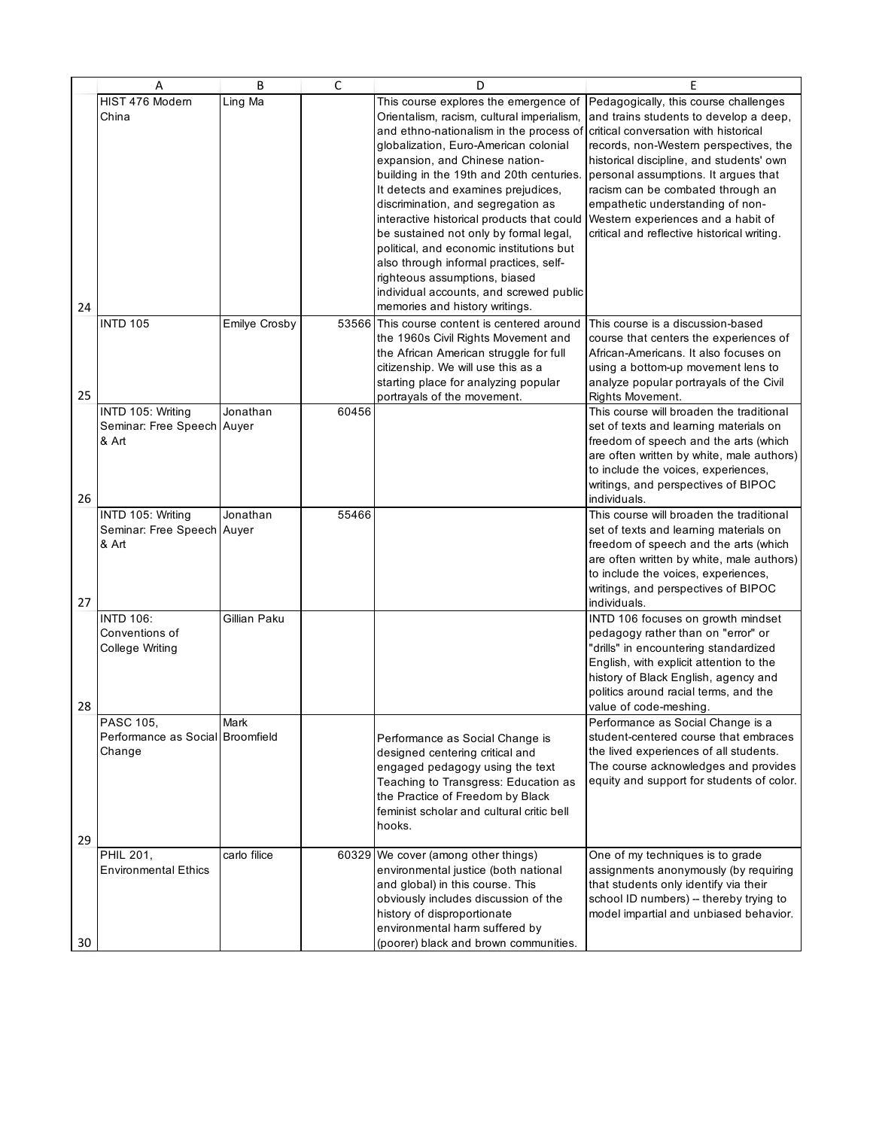|          | A                                                              | B                    | C     | D                                                                                                                                                                                                                                                                                                                                                                                                                                                                                                                                                                                                                              | E                                                                                                                                                                                                                                                                                                                                                                                                                    |
|----------|----------------------------------------------------------------|----------------------|-------|--------------------------------------------------------------------------------------------------------------------------------------------------------------------------------------------------------------------------------------------------------------------------------------------------------------------------------------------------------------------------------------------------------------------------------------------------------------------------------------------------------------------------------------------------------------------------------------------------------------------------------|----------------------------------------------------------------------------------------------------------------------------------------------------------------------------------------------------------------------------------------------------------------------------------------------------------------------------------------------------------------------------------------------------------------------|
| 24       | HIST 476 Modern<br>China                                       | Ling Ma              |       | This course explores the emergence of<br>Orientalism, racism, cultural imperialism,<br>and ethno-nationalism in the process of<br>globalization, Euro-American colonial<br>expansion, and Chinese nation-<br>building in the 19th and 20th centuries.<br>It detects and examines prejudices,<br>discrimination, and segregation as<br>interactive historical products that could<br>be sustained not only by formal legal,<br>political, and economic institutions but<br>also through informal practices, self-<br>righteous assumptions, biased<br>individual accounts, and screwed public<br>memories and history writings. | Pedagogically, this course challenges<br>and trains students to develop a deep.<br>critical conversation with historical<br>records, non-Western perspectives, the<br>historical discipline, and students' own<br>personal assumptions. It argues that<br>racism can be combated through an<br>empathetic understanding of non-<br>Western experiences and a habit of<br>critical and reflective historical writing. |
| 25       | <b>INTD 105</b>                                                | <b>Emilye Crosby</b> |       | 53566 This course content is centered around<br>the 1960s Civil Rights Movement and<br>the African American struggle for full<br>citizenship. We will use this as a<br>starting place for analyzing popular<br>portrayals of the movement.                                                                                                                                                                                                                                                                                                                                                                                     | This course is a discussion-based<br>course that centers the experiences of<br>African-Americans. It also focuses on<br>using a bottom-up movement lens to<br>analyze popular portrayals of the Civil<br>Rights Movement.                                                                                                                                                                                            |
|          | INTD 105: Writing<br>Seminar: Free Speech Auyer<br>& Art       | Jonathan             | 60456 |                                                                                                                                                                                                                                                                                                                                                                                                                                                                                                                                                                                                                                | This course will broaden the traditional<br>set of texts and learning materials on<br>freedom of speech and the arts (which<br>are often written by white, male authors)<br>to include the voices, experiences,<br>writings, and perspectives of BIPOC                                                                                                                                                               |
| 26<br>27 | INTD 105: Writing<br>Seminar: Free Speech<br>& Art             | Jonathan<br>Auyer    | 55466 |                                                                                                                                                                                                                                                                                                                                                                                                                                                                                                                                                                                                                                | individuals.<br>This course will broaden the traditional<br>set of texts and learning materials on<br>freedom of speech and the arts (which<br>are often written by white, male authors)<br>to include the voices, experiences,<br>writings, and perspectives of BIPOC<br>individuals.                                                                                                                               |
| 28       | <b>INTD 106:</b><br>Conventions of<br>College Writing          | Gillian Paku         |       |                                                                                                                                                                                                                                                                                                                                                                                                                                                                                                                                                                                                                                | INTD 106 focuses on growth mindset<br>pedagogy rather than on "error" or<br>"drills" in encountering standardized<br>English, with explicit attention to the<br>history of Black English, agency and<br>politics around racial terms, and the<br>value of code-meshing.                                                                                                                                              |
| 29       | <b>PASC 105,</b><br>Performance as Social Broomfield<br>Change | Mark                 |       | Performance as Social Change is<br>designed centering critical and<br>engaged pedagogy using the text<br>Teaching to Transgress: Education as<br>the Practice of Freedom by Black<br>feminist scholar and cultural critic bell<br>hooks.                                                                                                                                                                                                                                                                                                                                                                                       | Performance as Social Change is a<br>student-centered course that embraces<br>the lived experiences of all students.<br>The course acknowledges and provides<br>equity and support for students of color.                                                                                                                                                                                                            |
| 30       | PHIL 201,<br><b>Environmental Ethics</b>                       | carlo filice         |       | 60329 We cover (among other things)<br>environmental justice (both national<br>and global) in this course. This<br>obviously includes discussion of the<br>history of disproportionate<br>environmental harm suffered by<br>(poorer) black and brown communities.                                                                                                                                                                                                                                                                                                                                                              | One of my techniques is to grade<br>assignments anonymously (by requiring<br>that students only identify via their<br>school ID numbers) -- thereby trying to<br>model impartial and unbiased behavior.                                                                                                                                                                                                              |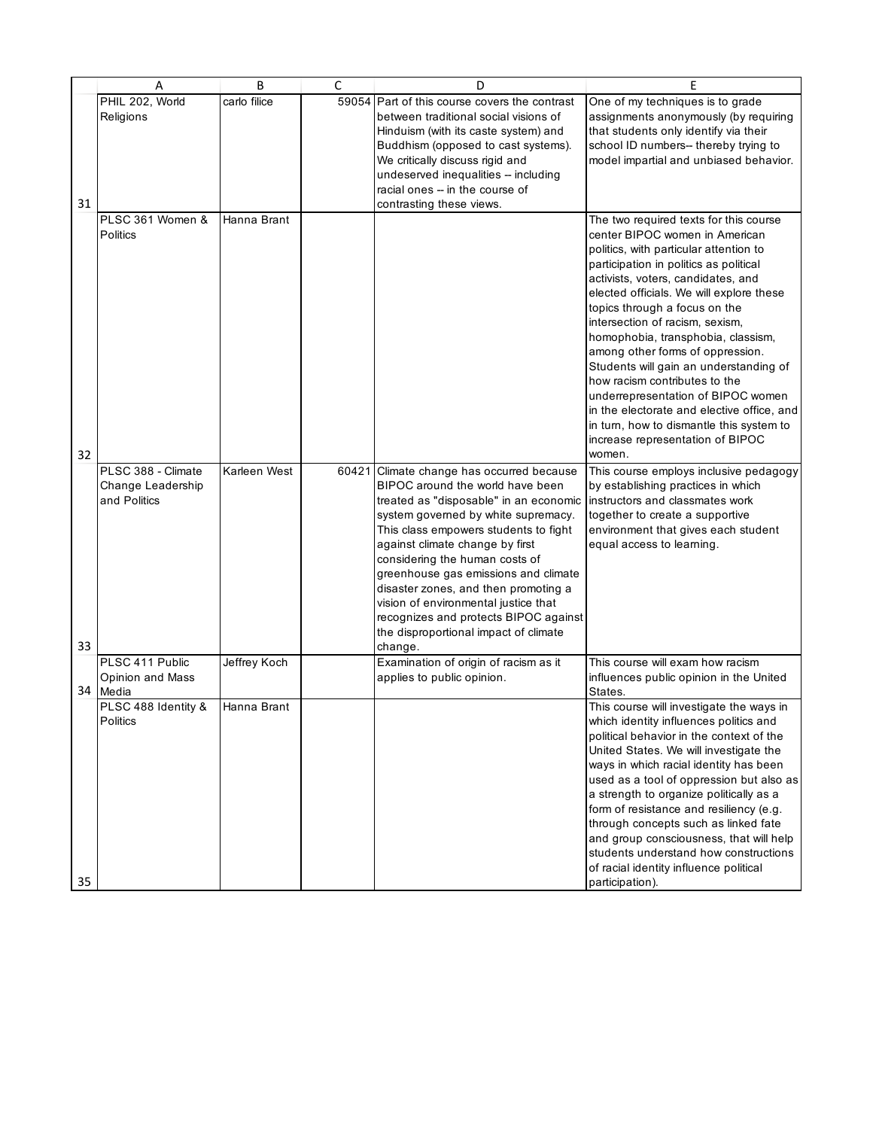|    | Α                                   | B            | C | D                                                                              | E                                                                                  |
|----|-------------------------------------|--------------|---|--------------------------------------------------------------------------------|------------------------------------------------------------------------------------|
|    | PHIL 202, World                     | carlo filice |   | 59054 Part of this course covers the contrast                                  | One of my techniques is to grade                                                   |
|    | Religions                           |              |   | between traditional social visions of                                          | assignments anonymously (by requiring                                              |
|    |                                     |              |   | Hinduism (with its caste system) and                                           | that students only identify via their                                              |
|    |                                     |              |   | Buddhism (opposed to cast systems).                                            | school ID numbers-- thereby trying to                                              |
|    |                                     |              |   | We critically discuss rigid and                                                | model impartial and unbiased behavior.                                             |
|    |                                     |              |   | undeserved inequalities -- including                                           |                                                                                    |
|    |                                     |              |   | racial ones -- in the course of                                                |                                                                                    |
| 31 |                                     |              |   | contrasting these views.                                                       |                                                                                    |
|    | PLSC 361 Women &<br><b>Politics</b> | Hanna Brant  |   |                                                                                | The two required texts for this course<br>center BIPOC women in American           |
|    |                                     |              |   |                                                                                | politics, with particular attention to                                             |
|    |                                     |              |   |                                                                                | participation in politics as political                                             |
|    |                                     |              |   |                                                                                | activists, voters, candidates, and                                                 |
|    |                                     |              |   |                                                                                | elected officials. We will explore these                                           |
|    |                                     |              |   |                                                                                | topics through a focus on the                                                      |
|    |                                     |              |   |                                                                                | intersection of racism, sexism,                                                    |
|    |                                     |              |   |                                                                                | homophobia, transphobia, classism,                                                 |
|    |                                     |              |   |                                                                                | among other forms of oppression.                                                   |
|    |                                     |              |   |                                                                                | Students will gain an understanding of                                             |
|    |                                     |              |   |                                                                                | how racism contributes to the                                                      |
|    |                                     |              |   |                                                                                | underrepresentation of BIPOC women                                                 |
|    |                                     |              |   |                                                                                | in the electorate and elective office, and                                         |
|    |                                     |              |   |                                                                                | in turn, how to dismantle this system to                                           |
| 32 |                                     |              |   |                                                                                | increase representation of BIPOC<br>women.                                         |
|    | PLSC 388 - Climate                  | Karleen West |   | 60421 Climate change has occurred because                                      | This course employs inclusive pedagogy                                             |
|    | Change Leadership                   |              |   | BIPOC around the world have been                                               | by establishing practices in which                                                 |
|    | and Politics                        |              |   | treated as "disposable" in an economic                                         | instructors and classmates work                                                    |
|    |                                     |              |   | system governed by white supremacy.                                            | together to create a supportive                                                    |
|    |                                     |              |   | This class empowers students to fight                                          | environment that gives each student                                                |
|    |                                     |              |   | against climate change by first                                                | equal access to learning.                                                          |
|    |                                     |              |   | considering the human costs of                                                 |                                                                                    |
|    |                                     |              |   | greenhouse gas emissions and climate                                           |                                                                                    |
|    |                                     |              |   | disaster zones, and then promoting a                                           |                                                                                    |
|    |                                     |              |   | vision of environmental justice that                                           |                                                                                    |
|    |                                     |              |   | recognizes and protects BIPOC against<br>the disproportional impact of climate |                                                                                    |
| 33 |                                     |              |   | change.                                                                        |                                                                                    |
|    | PLSC 411 Public                     | Jeffrey Koch |   | Examination of origin of racism as it                                          | This course will exam how racism                                                   |
|    | Opinion and Mass                    |              |   | applies to public opinion.                                                     | influences public opinion in the United                                            |
|    | 34 Media                            |              |   |                                                                                | States.                                                                            |
|    | PLSC 488 Identity &                 | Hanna Brant  |   |                                                                                | This course will investigate the ways in                                           |
|    | Politics                            |              |   |                                                                                | which identity influences politics and                                             |
|    |                                     |              |   |                                                                                | political behavior in the context of the                                           |
|    |                                     |              |   |                                                                                | United States. We will investigate the                                             |
|    |                                     |              |   |                                                                                | ways in which racial identity has been                                             |
|    |                                     |              |   |                                                                                | used as a tool of oppression but also as                                           |
|    |                                     |              |   |                                                                                | a strength to organize politically as a<br>form of resistance and resiliency (e.g. |
|    |                                     |              |   |                                                                                | through concepts such as linked fate                                               |
|    |                                     |              |   |                                                                                | and group consciousness, that will help                                            |
|    |                                     |              |   |                                                                                | students understand how constructions                                              |
|    |                                     |              |   |                                                                                | of racial identity influence political                                             |
| 35 |                                     |              |   |                                                                                | participation).                                                                    |